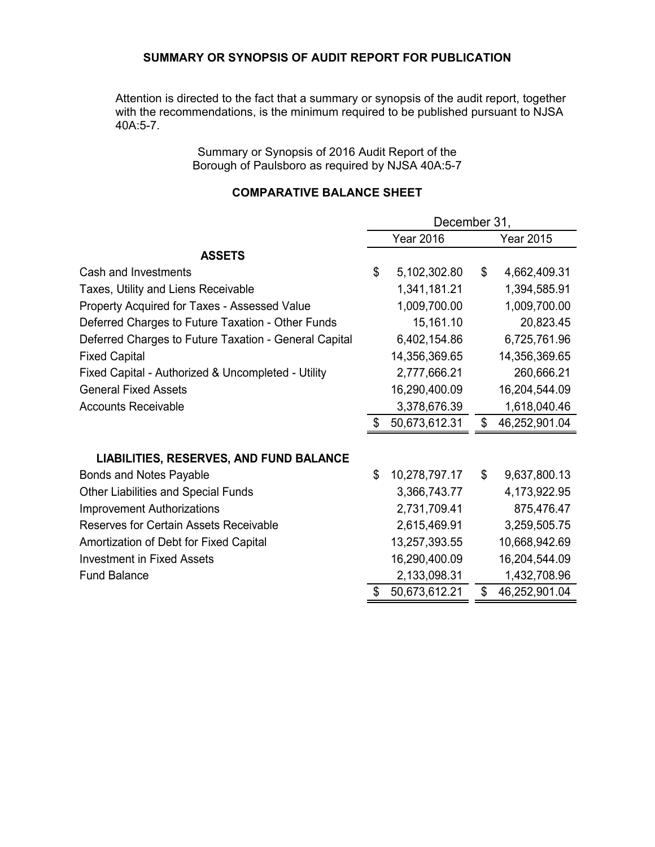### **SUMMARY OR SYNOPSIS OF AUDIT REPORT FOR PUBLICATION**

Attention is directed to the fact that a summary or synopsis of the audit report, together with the recommendations, is the minimum required to be published pursuant to NJSA 40A:5-7.

> Summary or Synopsis of 2016 Audit Report of the Borough of Paulsboro as required by NJSA 40A:5-7

### **COMPARATIVE BALANCE SHEET**

|                                                       | December 31, |                  |    |                  |
|-------------------------------------------------------|--------------|------------------|----|------------------|
|                                                       |              | <b>Year 2016</b> |    | <b>Year 2015</b> |
| <b>ASSETS</b>                                         |              |                  |    |                  |
| Cash and Investments                                  | \$           | 5,102,302.80     | \$ | 4,662,409.31     |
| Taxes, Utility and Liens Receivable                   |              | 1,341,181.21     |    | 1,394,585.91     |
| Property Acquired for Taxes - Assessed Value          |              | 1,009,700.00     |    | 1,009,700.00     |
| Deferred Charges to Future Taxation - Other Funds     |              | 15,161.10        |    | 20,823.45        |
| Deferred Charges to Future Taxation - General Capital |              | 6,402,154.86     |    | 6,725,761.96     |
| <b>Fixed Capital</b>                                  |              | 14,356,369.65    |    | 14,356,369.65    |
| Fixed Capital - Authorized & Uncompleted - Utility    |              | 2,777,666.21     |    | 260,666.21       |
| <b>General Fixed Assets</b>                           |              | 16,290,400.09    |    | 16,204,544.09    |
| <b>Accounts Receivable</b>                            |              | 3,378,676.39     |    | 1,618,040.46     |
|                                                       |              | 50,673,612.31    | \$ | 46,252,901.04    |
|                                                       |              |                  |    |                  |
| LIABILITIES, RESERVES, AND FUND BALANCE               |              |                  |    |                  |
| <b>Bonds and Notes Payable</b>                        | \$           | 10,278,797.17    | \$ | 9,637,800.13     |
| <b>Other Liabilities and Special Funds</b>            |              | 3,366,743.77     |    | 4,173,922.95     |
| <b>Improvement Authorizations</b>                     |              | 2,731,709.41     |    | 875,476.47       |
| <b>Reserves for Certain Assets Receivable</b>         |              | 2,615,469.91     |    | 3,259,505.75     |
| Amortization of Debt for Fixed Capital                |              | 13,257,393.55    |    | 10,668,942.69    |
| <b>Investment in Fixed Assets</b>                     |              | 16,290,400.09    |    | 16,204,544.09    |
| <b>Fund Balance</b>                                   |              | 2,133,098.31     |    | 1,432,708.96     |
|                                                       | \$           | 50,673,612.21    | \$ | 46,252,901.04    |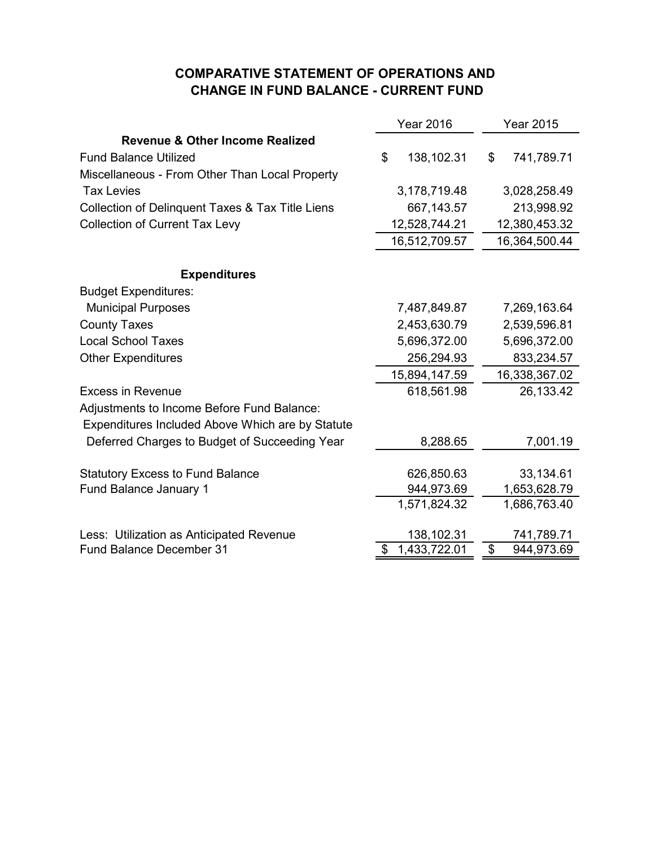# **COMPARATIVE STATEMENT OF OPERATIONS AND CHANGE IN FUND BALANCE - CURRENT FUND**

|                                                  | <b>Year 2016</b>   | <b>Year 2015</b> |  |
|--------------------------------------------------|--------------------|------------------|--|
| <b>Revenue &amp; Other Income Realized</b>       |                    |                  |  |
| <b>Fund Balance Utilized</b>                     | \$<br>138,102.31   | \$<br>741,789.71 |  |
| Miscellaneous - From Other Than Local Property   |                    |                  |  |
| <b>Tax Levies</b>                                | 3,178,719.48       | 3,028,258.49     |  |
| Collection of Delinquent Taxes & Tax Title Liens | 667,143.57         | 213,998.92       |  |
| <b>Collection of Current Tax Levy</b>            | 12,528,744.21      | 12,380,453.32    |  |
|                                                  | 16,512,709.57      | 16,364,500.44    |  |
| <b>Expenditures</b>                              |                    |                  |  |
| <b>Budget Expenditures:</b>                      |                    |                  |  |
| <b>Municipal Purposes</b>                        | 7,487,849.87       | 7,269,163.64     |  |
| <b>County Taxes</b>                              | 2,453,630.79       | 2,539,596.81     |  |
| <b>Local School Taxes</b>                        | 5,696,372.00       | 5,696,372.00     |  |
| <b>Other Expenditures</b>                        | 256,294.93         | 833,234.57       |  |
|                                                  | 15,894,147.59      | 16,338,367.02    |  |
| <b>Excess in Revenue</b>                         | 618,561.98         | 26,133.42        |  |
| Adjustments to Income Before Fund Balance:       |                    |                  |  |
| Expenditures Included Above Which are by Statute |                    |                  |  |
| Deferred Charges to Budget of Succeeding Year    | 8,288.65           | 7,001.19         |  |
| <b>Statutory Excess to Fund Balance</b>          | 626,850.63         | 33,134.61        |  |
| <b>Fund Balance January 1</b>                    | 944,973.69         | 1,653,628.79     |  |
|                                                  | 1,571,824.32       | 1,686,763.40     |  |
| Less: Utilization as Anticipated Revenue         | 138,102.31         | 741,789.71       |  |
| <b>Fund Balance December 31</b>                  | 1,433,722.01<br>\$ | \$<br>944,973.69 |  |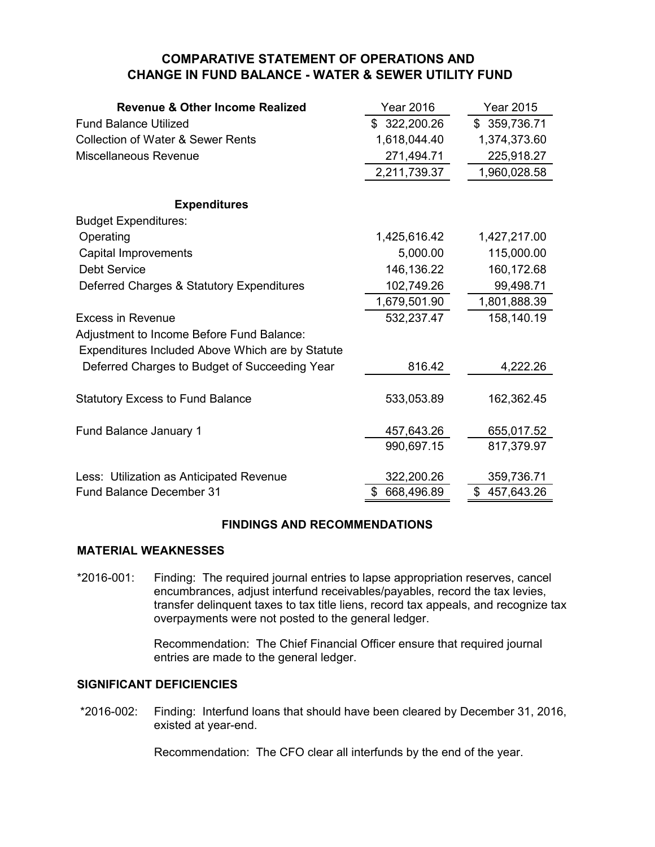# **COMPARATIVE STATEMENT OF OPERATIONS AND CHANGE IN FUND BALANCE - WATER & SEWER UTILITY FUND**

| <b>Revenue &amp; Other Income Realized</b>       | <b>Year 2016</b> | <b>Year 2015</b> |
|--------------------------------------------------|------------------|------------------|
| <b>Fund Balance Utilized</b>                     | \$322,200.26     | \$359,736.71     |
| <b>Collection of Water &amp; Sewer Rents</b>     | 1,618,044.40     | 1,374,373.60     |
| Miscellaneous Revenue                            | 271,494.71       | 225,918.27       |
|                                                  | 2,211,739.37     | 1,960,028.58     |
|                                                  |                  |                  |
| <b>Expenditures</b>                              |                  |                  |
| <b>Budget Expenditures:</b>                      |                  |                  |
| Operating                                        | 1,425,616.42     | 1,427,217.00     |
| <b>Capital Improvements</b>                      | 5,000.00         | 115,000.00       |
| <b>Debt Service</b>                              | 146,136.22       | 160,172.68       |
| Deferred Charges & Statutory Expenditures        | 102,749.26       | 99,498.71        |
|                                                  | 1,679,501.90     | 1,801,888.39     |
| <b>Excess in Revenue</b>                         | 532,237.47       | 158,140.19       |
| Adjustment to Income Before Fund Balance:        |                  |                  |
| Expenditures Included Above Which are by Statute |                  |                  |
| Deferred Charges to Budget of Succeeding Year    | 816.42           | 4,222.26         |
|                                                  |                  |                  |
| <b>Statutory Excess to Fund Balance</b>          | 533,053.89       | 162,362.45       |
| Fund Balance January 1                           | 457,643.26       | 655,017.52       |
|                                                  | 990,697.15       | 817,379.97       |
|                                                  |                  |                  |
| Less: Utilization as Anticipated Revenue         | 322,200.26       | 359,736.71       |
| <b>Fund Balance December 31</b>                  | \$<br>668,496.89 | \$457,643.26     |

## **FINDINGS AND RECOMMENDATIONS**

## **MATERIAL WEAKNESSES**

\*2016-001: Finding: The required journal entries to lapse appropriation reserves, cancel encumbrances, adjust interfund receivables/payables, record the tax levies, transfer delinquent taxes to tax title liens, record tax appeals, and recognize tax overpayments were not posted to the general ledger.

> Recommendation: The Chief Financial Officer ensure that required journal entries are made to the general ledger.

## **SIGNIFICANT DEFICIENCIES**

 \*2016-002: Finding: Interfund loans that should have been cleared by December 31, 2016, existed at year-end.

Recommendation: The CFO clear all interfunds by the end of the year.